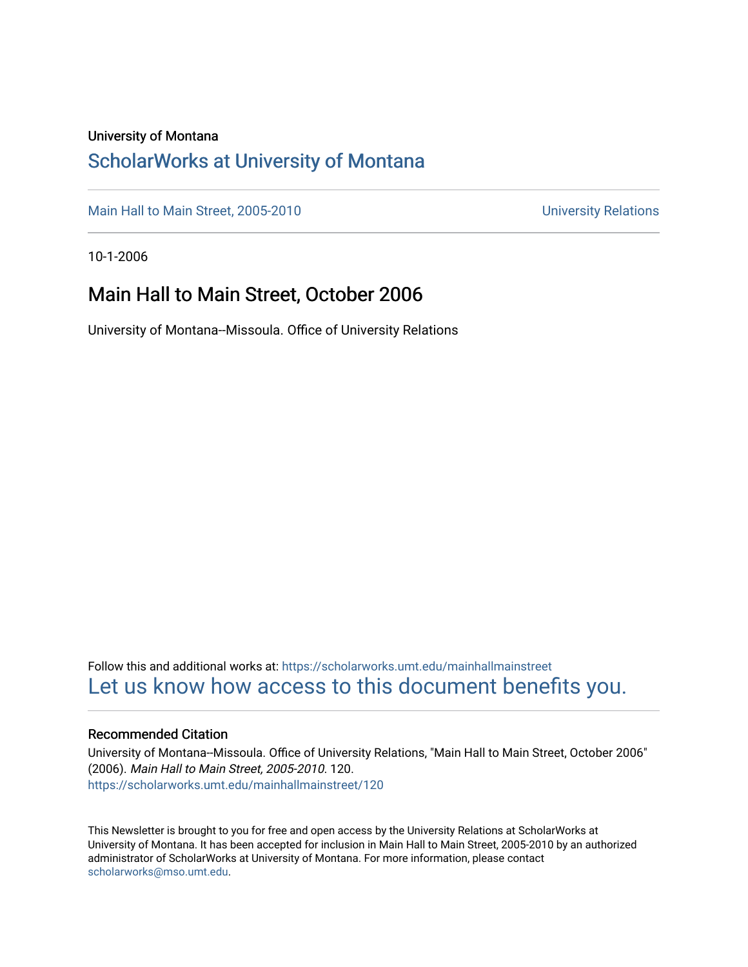### University of Montana

### [ScholarWorks at University of Montana](https://scholarworks.umt.edu/)

[Main Hall to Main Street, 2005-2010](https://scholarworks.umt.edu/mainhallmainstreet) Main Hall to Main Street, 2005-2010

10-1-2006

### Main Hall to Main Street, October 2006

University of Montana--Missoula. Office of University Relations

Follow this and additional works at: [https://scholarworks.umt.edu/mainhallmainstreet](https://scholarworks.umt.edu/mainhallmainstreet?utm_source=scholarworks.umt.edu%2Fmainhallmainstreet%2F120&utm_medium=PDF&utm_campaign=PDFCoverPages) [Let us know how access to this document benefits you.](https://goo.gl/forms/s2rGfXOLzz71qgsB2) 

### Recommended Citation

University of Montana--Missoula. Office of University Relations, "Main Hall to Main Street, October 2006" (2006). Main Hall to Main Street, 2005-2010. 120. [https://scholarworks.umt.edu/mainhallmainstreet/120](https://scholarworks.umt.edu/mainhallmainstreet/120?utm_source=scholarworks.umt.edu%2Fmainhallmainstreet%2F120&utm_medium=PDF&utm_campaign=PDFCoverPages)

This Newsletter is brought to you for free and open access by the University Relations at ScholarWorks at University of Montana. It has been accepted for inclusion in Main Hall to Main Street, 2005-2010 by an authorized administrator of ScholarWorks at University of Montana. For more information, please contact [scholarworks@mso.umt.edu.](mailto:scholarworks@mso.umt.edu)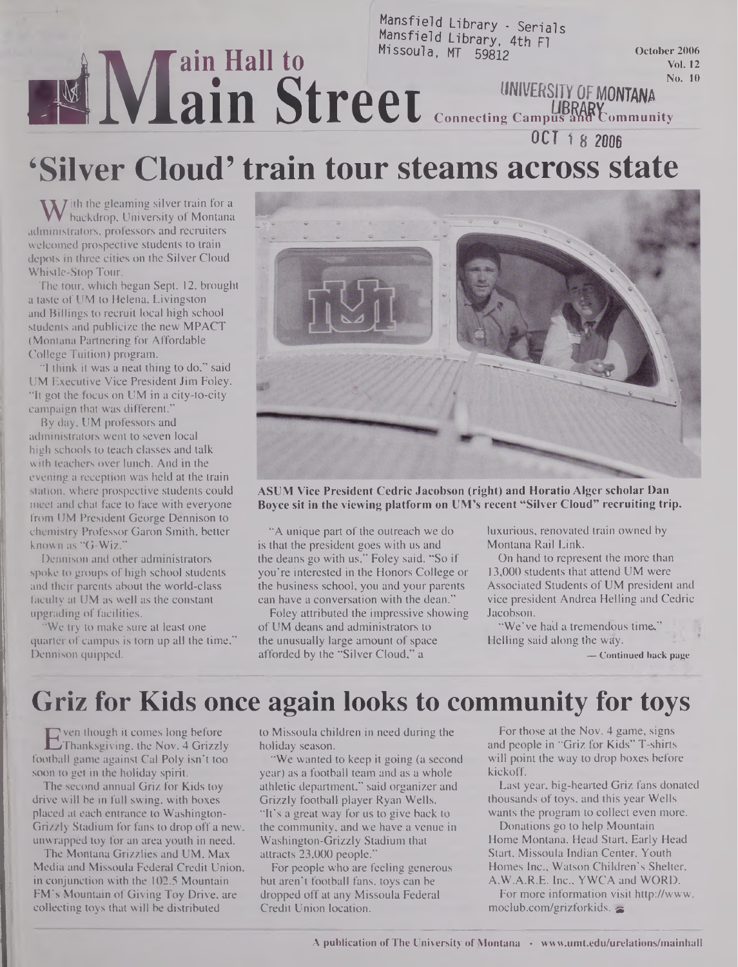#### Mansfield Library - Serials Mansfield Library, 4th Fl **INING Street** MT 59812 **October <sup>2006</sup> Vol. 12 .... No. <sup>10</sup> UNIVERSITY\_0f MONTANA !is®Wlt'<>mniunity Connecting Campus OCT <sup>1</sup> 8 2006**

# **'Silver Cloud' train tour steams across state**

 $\mathbf{W}$  ith the gleaming silver train for a<br>ministrators, professors and recruiters backdrop, University of Montana administrators, professors and recruiters welcomed prospective students to train depots in three cities on the Silver Cloud Whistle-Stop Tour.

The tour, which began Sept. 12, brought a taste of UM to Helena, Livingston and Billings to recruit local high school students and publicize the new MPACT (Montana Partnering for Affordable College Tuition) program.

"I think it was a neat thing to do," said UM Executive Vice President Jim Foley. "It got the focus on UM in a city-to-city campaign that was different."

By day, UM professors and administrators went to seven local high schools to teach classes and talk with teachers over lunch. And in the evening a reception was held at the train station, where prospective students could meet and chat face to face with everyone from UM President George Dennison to chemistry Professor Garon Smith, better known as "G-Wiz."

Dennison and other administrators spoke to groups of high school students and their parents about the world-class faculty at UM as well as the constant upgrading of facilities.

"We try to make sure at least one quarter of campus is tom up all the time," Dennison quipped.



**ASUM Vice President Cedric Jacobson (right) and Horatio Alger scholar Dan Boyce sit in the viewing platform on UM's recent "Silver Cloud" recruiting trip.**

"A unique part of the outreach we do is that the president goes with us and the deans go with us," Foley said. "So if you're interested in the Honors College or the business school, you and your parents can have a conversation with the dean."

Foley attributed the impressive showing of UM deans and administrators to the unusually large amount of space afforded by the "Silver Cloud," a

luxurious, renovated train owned by Montana Rail Link.

On hand to represent the more than 13,000 students that attend UM were Associated Students of UM president and vice president Andrea Helling and Cedric Jacobson.

"We've had a tremendous time," Helling said along the way.

**— Continued back page**

## **Griz for Kids once again looks to community for toys**

E ven though it comes long before<br>Thanksgiving, the Nov. 4 Grizzly<br>football game against Cal Poly isn't too ven though it comes long before Thanksgiving, the Nov. 4 Grizzly soon to get in the holiday spirit.

The second annual Griz for Kids toy drive will be in full swing, with boxes placed at each entrance to Washington-Grizzly Stadium for fans to drop off a new, unwrapped toy for an area youth in need.

The Montana Grizzlies and UM, Max Media and Missoula Federal Credit Union, in conjunction with the 102.5 Mountain FM's Mountain of Giving Toy Drive, are collecting toys that will be distributed

to Missoula children in need during the holiday season.

"We wanted to keep it going (a second year) as a football team and as a whole athletic department," said organizer and Grizzly football player Ryan Wells. "It's a great.way for us to give back to the community, and we have a venue in Washington-Grizzly Stadium that attracts 23,000 people."

For people who are feeling generous but aren't football fans, toys can be dropped off at any Missoula Federal Credit Union location.

For those at the Nov. 4 game, signs and people in "Griz for Kids" T-shirts will point the way to drop boxes before kickoff.

Last year, big-hearted Griz fans donated thousands of toys, and this year Wells wants the program to collect even more.

Donations go to help Mountain Home Montana, Head Start, Early Head Start, Missoula Indian Center, Youth Homes Inc., Watson Children's Shelter, A.W.A.R.E. Inc., YWCA and WORD.

For more information visit http://www. <moclub.com/grizforkids>.  $\approx$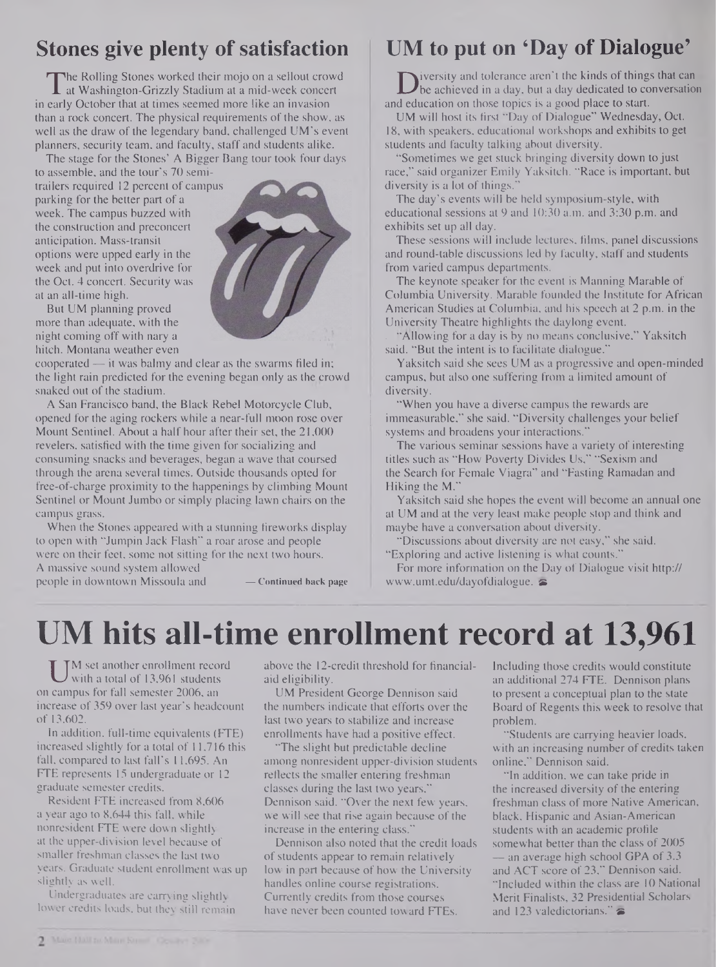### **Stones give plenty ofsatisfaction**

The Rolling Stones worked their mojo on a sellout crowd<br>at Washington-Grizzly Stadium at a mid-week concert<br>early October that at times seemed more like an invasion he Rolling Stones worked their mojo on a sellout crowd at Washington-Grizzly Stadium at a mid-week concert than a rock concert. The physical requirements of the show, as well as the draw of the legendary band, challenged UM's event planners, security team, and faculty, staff and students alike.

The stage for the Stones' A Bigger Bang tour took four days to assemble, and the tour's 70 semi-

trailers required 12 percent of campus parking for the better part of a week. The campus buzzed with the construction and preconcert anticipation. Mass-transit options were upped early in the week and put into overdrive for the Oct. 4 concert. Security was at an all-time high.

But UM planning proved more than adequate, with the night coming off with nary a hitch. Montana weather even



A San Francisco band, the Black Rebel Motorcycle Club, opened for the aging rockers while a near-full moon rose over Mount Sentinel. About a half hour after their set, the 21,000 revelers, satisfied with the time given for socializing and consuming snacks and beverages, began a wave that coursed through the arena several times. Outside thousands opted for free-of-charge proximity to the happenings by climbing Mount Sentinel or Mount Jumbo or simply placing lawn chairs on the campus grass.

When the Stones appeared with a stunning fireworks display to open with "Jumpin Jack Flash" a roar arose and people were on their feet, some not sitting for the next two hours. A massive sound system allowed

people in downtown Missoula and **— Continued back page**

### **UM to put on 'Day of Dialogue'**

Diversity and tolerance aren't the kinds of things that c<br>deducation on those topics is a good place to start. iversity and tolerance aren't the kinds of things that can be achieved in a day, but a day dedicated to conversation

UM will host its first "Day of Dialogue" Wednesday, Oct. 18, with speakers, educational workshops and exhibits to get students and faculty talking about diversity.

"Sometimes we get stuck bringing diversity down to just race," said organizer Emily Yaksitch. "Race is important, but diversity is a lot of things."

The day's events will be held symposium-style, with educational sessions at 9 and 10:30 a.m. and 3:30 p.m. and exhibits set up all day.

These sessions will include lectures, films, panel discussions and round-table discussions led by faculty, staff and students from varied campus departments.

The keynote speaker for the event is Manning Marable of Columbia University. Marable founded the Institute for African American Studies at Columbia, and his speech al 2 p.m. in the University Theatre highlights the daylong event.

"Allowing for a day is by no means conclusive," Yaksitch said. "But the intent is to facilitate dialogue."

Yaksitch said she sees UM as a progressive and open-minded campus, but also one suffering from a limited amount of diversity.

"When you have a diverse campus the rewards are immeasurable," she said. "Diversity challenges your belief systems and broadens your interactions."

The various seminar sessions have a variety of interesting titles such as "How Poverty Divides Us," "Sexism and the Search for Female Viagra" and "Fasting Ramadan and Hiking the M."

Yaksitch said she hopes the event will become an annual one at UM and at the very least make people stop and think and maybe have a conversation about diversity.

"Discussions about diversity are not easy," she said. "Exploring and active listening is what counts."

For more information on the Day of Dialogue visit http:// [www.umt.edu/dayofdialogue](http://www.umt.edu/dayofdialogue).

# **UM hits all-time enrollment record at 13,961**

U <sup>M</sup> set another enrollment record<br>with a total of 13,961 students<br>campus for fall semester 2006, an M set another enrollment record with a total of 13,961 students increase of 359 over last year's headcount of 13,602.

In addition, full-time equivalents (FTE) increased slightly for a total of 11,716 this fall, compared to last fall's 11,695. An FTE represents 15 undergraduate or 12 graduate semester credits.

Resident FTE increased from 8,606 a year ago to 8,644 this fall, while nonresident FTE were down slightly at the upper-division level because of smaller freshman classes the last two years. Graduate student enrollment was up slightly as well.

Undergraduates are carrying slightly lower credits loads, but thev still remain above the 12-credit threshold for financialaid eligibility.

UM President George Dennison said the numbers indicate that efforts over the last two years to stabilize and increase enrollments have had a positive effect.

"The slight but predictable decline among nonresident upper-division students reflects the smaller entering freshman classes during the last two years," Dennison said. "Over the next few years, we will see that rise again because of the increase in the entering class."

Dennison also noted that the credit loads of students appear to remain relatively low in part because of how the University handles online course registrations. Currently credits from those courses have never been counted toward FTEs.

Including those credits would constitute an additional 274 FTE. Dennison plans to present a conceptual plan to the state Board of Regents this week to resolve that problem.

"Students are carrying heavier loads, with an increasing number of credits taken online," Dennison said.

"In addition, we can take pride in the increased diversity of the entering freshman class of more Native American, black, Hispanic and Asian-American students with an academic profile somewhat better than the class of 2005 — an average high school GPA of 3.3 and ACT score of 23," Dennison said. "Included within the class are 10 National Merit Finalists, 32 Presidential Scholars and 123 valedictorians." $\approx$ 

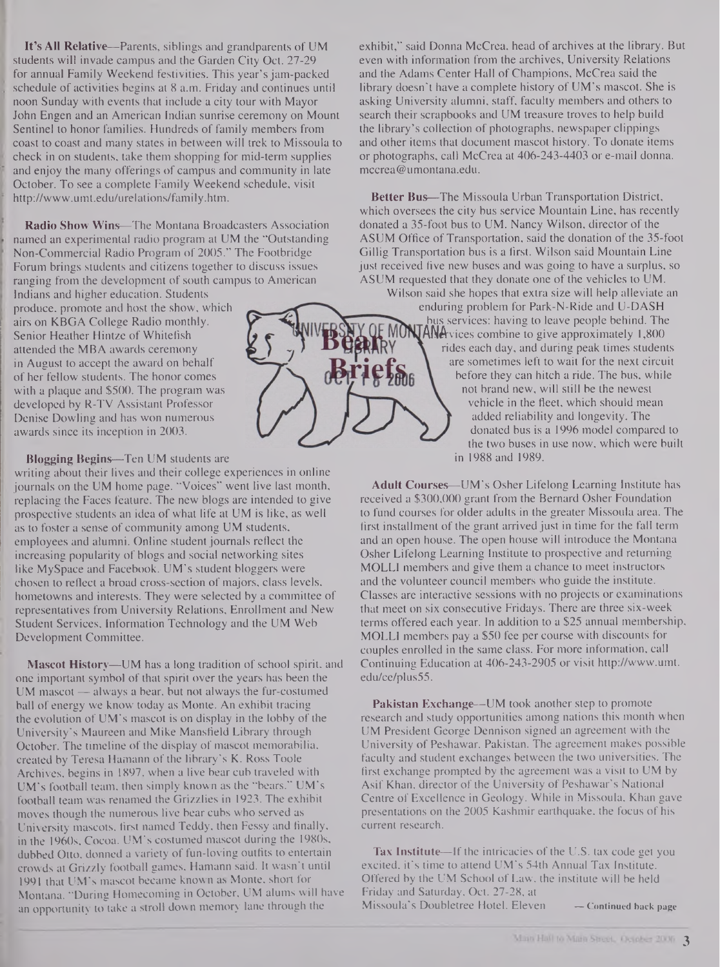**It's All Relative—**Parents, siblings and grandparents of UM students will invade campus and the Garden City Oct. 27-29 for annual Family Weekend festivities. This year's jam-packed schedule of activities begins at 8 a.m. Friday and continues until noon Sunday with events that include a city tour with Mayor John Engen and an American Indian sunrise ceremony on Mount Sentinel to honor families. Hundreds of family members from coast to coast and many states in between will trek to Missoula to check in on students, take them shopping for mid-term supplies and enjoy the many offerings of campus and community in late October. To see a complete Family Weekend schedule, visit <http://www.umt.edu/urelations/family.htm>.

**Radio Show Wins—**The Montana Broadcasters Association named an experimental radio program at UM the "Outstanding Non-Commercial Radio Program of 2005." The Footbridge Forum brings students and citizens together to discuss issues ranging from the development of south campus to American

Indians and higher education. Students produce, promote and host the show, which airs on KBGA College Radio monthly. Senior Heather Hintze of Whitefish attended the MBA awards ceremony in August to accept the award on behalf of her fellow students. The honor comes with a plaque and \$500. The program was developed by R-TV Assistant Professor Denise Dowling and has won numerous awards since its inception in 2003.

**Blogging Begins—**Ten UM students are

writing about their lives and their college experiences in online journals on the UM home page. "Voices" went live last month, replacing the Faces feature. The new blogs are intended to give prospective students an idea of what life at UM is like, as well as to foster a sense of community among UM students, employees and alumni. Online student journals reflect the increasing popularity of blogs and social networking sites like MySpace and Facebook. UM's student bloggers were chosen to reflect a broad cross-section of majors, class levels, hometowns and interests. They were selected by a committee of representatives from University Relations, Enrollment and New Student Services, Information Technology and the UM Web Development Committee.

**Mascot History—UM** has a long tradition of school spirit, and one important symbol of that spirit over the years has been the UM mascot — always a bear, but not always the fur-costumed ball of energy we know today as Monte. An exhibit tracing the evolution of  $UM$ 's mascot is on display in the lobby of the University's Maureen and Mike Mansfield Library through October. The timeline of the display of mascot memorabilia, created by Teresa Hamann of the library's K. Ross Toole Archives, begins in 1897, when a live bear cub traveled with UM's football team, then simply known as the "bears." UM's football team was renamed the Grizzlies in 1923. The exhibit moves though the numerous live bear cubs who served as University mascots, first named Teddy, then Fessy and finally, in the 1960s, Cocoa. UM's costumed mascot during the 1980s, dubbed Otto, donned a variety of fun-loving outfits to entertain crowds at Grizzly football games, Hamann said. It wasn't until 1991 that UM's mascot became known as Monte, short for Montana. "During Homecoming in October, UM alums will have an opportunity to take a stroll down memory lane through the

exhibit," said Donna McCrea, head of archives at the library. But even with information from the archives, University Relations and the Adams Center Hall of Champions, McCrea said the library doesn't have a complete history of UM's mascot. She is asking University alumni, staff, faculty members and others to search their scrapbooks and UM treasure troves to help build the library's collection of photographs, newspaper clippings and other items that document mascot history. To donate items or photographs, call McCrea at 406-243-4403 or e-mail donna. mccrea@<umontana.edu>.

**Better Bus—**The Missoula Urban Transportation District, which oversees the city bus service Mountain Line, has recently donated a 35-foot bus to UM. Nancy Wilson, director of the ASUM Office of Transportation, said the donation of the 35-foot Gillig Transportation bus is a first. Wilson said Mountain Line just received five new buses and was going to have a surplus, so ASUM requested that they donate one of the vehicles to UM.

Wilson said she hopes that extra size will help alleviate an enduring problem for Park-N-Ride and U-DASH bus services: having to leave people behind. The **ANA**vices combine to give approximately 1,800 rides each day, and during peak times students are sometimes left to wait for the next circuit before they can hitch a ride. The bus, while not brand new, will still be the newest vehicle in the fleet, which should mean added reliability and longevity. The donated bus is a 1996 model compared to the two buses in use now, which were built in 1988 and 1989.

**Adult Courses—**UM's Osher Lifelong Learning Institute has received a \$300,000 grant from the Bernard Osher Foundation to fund courses for older adults in the greater Missoula area. The first installment of the grant arrived just in time for the fall term and an open house. The open house will introduce the Montana Osher Lifelong Learning Institute to prospective and returning MOLLI members and give them a chance to meet instructors and the volunteer council members who guide the institute. Classes are interactive sessions with no projects or examinations that meet on six consecutive Fridays. There are three six-week terms offered each year. In addition to a \$25 annual membership, MOLLI members pay a \$50 fee per course with discounts for couples enrolled in the same class. For more information, call Continuing Education at 406-243-2905 or visit <http://www.umt>. **edu/ce/plus55.**

**Pakistan Exchange—**UM took another step to promote research and study opportunities among nations this month when UM President George Dennison signed an agreement with the University of Peshawar, Pakistan. The agreement makes possible faculty and student exchanges between the two universities. The first exchange prompted by the agreement was a visit to UM by Asif Khan, director of the University of Peshawar's National Centre of Excellence in Geology. While in Missoula, Khan gave presentations on the 2005 Kashmir earthquake, the focus of his current research.

**Tax Institute—If the intricacies of the U.S. tax code get you** excited, it's time to attend UM's 54th Annual Tax Institute. Offered by the UM School of Law, the institute will be held Friday and Saturday, Oct. 27-28, at Missoula's Doubletree Hotel. Eleven **— Continued back page**